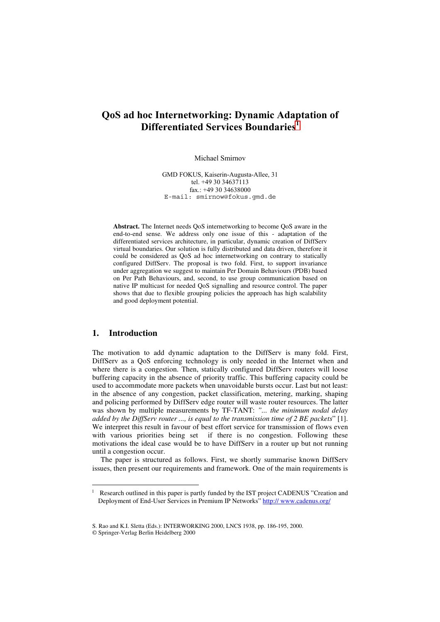# **QoS ad hoc Internetworking: Dynamic Adaptation of Differentiated Services Boundaries**

Michael Smirnov

GMD FOKUS, Kaiserin-Augusta-Allee, 31 tel. +49 30 34637113 fax.: +49 30 34638000 E-mail: smirnow@fokus.gmd.de

**Abstract.** The Internet needs QoS internetworking to become QoS aware in the end-to-end sense. We address only one issue of this - adaptation of the differentiated services architecture, in particular, dynamic creation of DiffServ virtual boundaries. Our solution is fully distributed and data driven, therefore it could be considered as QoS ad hoc internetworking on contrary to statically configured DiffServ. The proposal is two fold. First, to support invariance under aggregation we suggest to maintain Per Domain Behaviours (PDB) based on Per Path Behaviours, and, second, to use group communication based on native IP multicast for needed QoS signalling and resource control. The paper shows that due to flexible grouping policies the approach has high scalability and good deployment potential.

#### **1. Introduction**

The motivation to add dynamic adaptation to the DiffServ is many fold. First, DiffServ as a QoS enforcing technology is only needed in the Internet when and where there is a congestion. Then, statically configured DiffServ routers will loose buffering capacity in the absence of priority traffic. This buffering capacity could be used to accommodate more packets when unavoidable bursts occur. Last but not least: in the absence of any congestion, packet classification, metering, marking, shaping and policing performed by DiffServ edge router will waste router resources. The latter was shown by multiple measurements by TF-TANT: *"... the minimum nodal delay added by the DiffServ router ..., is equal to the transmission time of 2 BE packets*" [1]. We interpret this result in favour of best effort service for transmission of flows even with various priorities being set if there is no congestion. Following these motivations the ideal case would be to have DiffServ in a router up but not running until a congestion occur.

The paper is structured as follows. First, we shortly summarise known DiffServ issues, then present our requirements and framework. One of the main requirements is

© Springer-Verlag Berlin Heidelberg 2000

 $\overline{a}$ 

<span id="page-0-0"></span><sup>&</sup>lt;sup>1</sup> Research outlined in this paper is partly funded by the IST project CADENUS "Creation and Deployment of End-User Services in Premium IP Networks" http:// www.cadenus.org/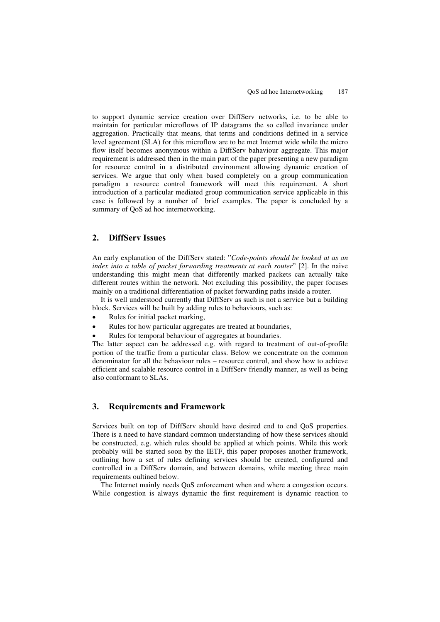to support dynamic service creation over DiffServ networks, i.e. to be able to maintain for particular microflows of IP datagrams the so called invariance under aggregation. Practically that means, that terms and conditions defined in a service level agreement (SLA) for this microflow are to be met Internet wide while the micro flow itself becomes anonymous within a DiffServ bahaviour aggregate. This major requirement is addressed then in the main part of the paper presenting a new paradigm for resource control in a distributed environment allowing dynamic creation of services. We argue that only when based completely on a group communication paradigm a resource control framework will meet this requirement. A short introduction of a particular mediated group communication service applicable in this case is followed by a number of brief examples. The paper is concluded by a summary of QoS ad hoc internetworking.

## **2. DiffServ Issues**

An early explanation of the DiffServ stated: "*Code-points should be looked at as an index into a table of packet forwarding treatments at each router*" [2]. In the naive understanding this might mean that differently marked packets can actually take different routes within the network. Not excluding this possibility, the paper focuses mainly on a traditional differentiation of packet forwarding paths inside a router.

It is well understood currently that DiffServ as such is not a service but a building block. Services will be built by adding rules to behaviours, such as:

- Rules for initial packet marking,
- Rules for how particular aggregates are treated at boundaries,
- Rules for temporal behaviour of aggregates at boundaries.

The latter aspect can be addressed e.g. with regard to treatment of out-of-profile portion of the traffic from a particular class. Below we concentrate on the common denominator for all the behaviour rules – resource control, and show how to achieve efficient and scalable resource control in a DiffServ friendly manner, as well as being also conformant to SLAs.

## **3. Requirements and Framework**

Services built on top of DiffServ should have desired end to end QoS properties. There is a need to have standard common understanding of how these services should be constructed, e.g. which rules should be applied at which points. While this work probably will be started soon by the IETF, this paper proposes another framework, outlining how a set of rules defining services should be created, configured and controlled in a DiffServ domain, and between domains, while meeting three main requirements oultined below.

The Internet mainly needs QoS enforcement when and where a congestion occurs. While congestion is always dynamic the first requirement is dynamic reaction to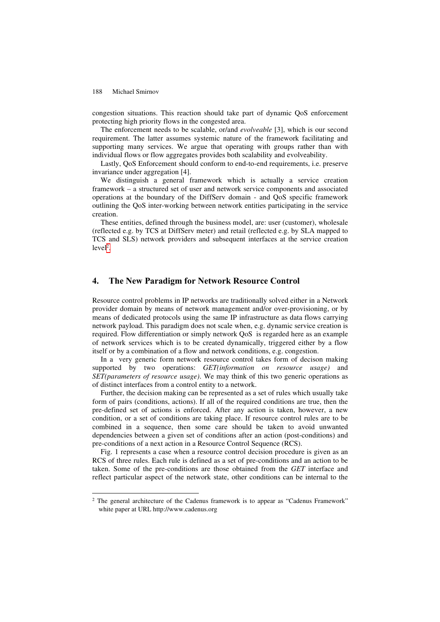$\overline{a}$ 

congestion situations. This reaction should take part of dynamic QoS enforcement protecting high priority flows in the congested area.

The enforcement needs to be scalable, or/and *evolveable* [3], which is our second requirement. The latter assumes systemic nature of the framework facilitating and supporting many services. We argue that operating with groups rather than with individual flows or flow aggregates provides both scalability and evolveability.

Lastly, QoS Enforcement should conform to end-to-end requirements, i.e. preserve invariance under aggregation [4].

We distinguish a general framework which is actually a service creation framework – a structured set of user and network service components and associated operations at the boundary of the DiffServ domain - and QoS specific framework outlining the QoS inter-working between network entities participating in the service creation.

These entities, defined through the business model, are: user (customer), wholesale (reflected e.g. by TCS at DiffServ meter) and retail (reflected e.g. by SLA mapped to TCS and SLS) network providers and subsequent interfaces at the service creation  $level<sup>2</sup>$  $level<sup>2</sup>$  $level<sup>2</sup>$ 

#### **4. The New Paradigm for Network Resource Control**

Resource control problems in IP networks are traditionally solved either in a Network provider domain by means of network management and/or over-provisioning, or by means of dedicated protocols using the same IP infrastructure as data flows carrying network payload. This paradigm does not scale when, e.g. dynamic service creation is required. Flow differentiation or simply network QoS is regarded here as an example of network services which is to be created dynamically, triggered either by a flow itself or by a combination of a flow and network conditions, e.g. congestion.

In a very generic form network resource control takes form of decison making supported by two operations: *GET(information on resource usage)* and *SET(parameters of resource usage)*. We may think of this two generic operations as of distinct interfaces from a control entity to a network.

Further, the decision making can be represented as a set of rules which usually take form of pairs (conditions, actions). If all of the required conditions are true, then the pre-defined set of actions is enforced. After any action is taken, however, a new condition, or a set of conditions are taking place. If resource control rules are to be combined in a sequence, then some care should be taken to avoid unwanted dependencies between a given set of conditions after an action (post-conditions) and pre-conditions of a next action in a Resource Control Sequence (RCS).

Fig. 1 represents a case when a resource control decision procedure is given as an RCS of three rules. Each rule is defined as a set of pre-conditions and an action to be taken. Some of the pre-conditions are those obtained from the *GET* interface and reflect particular aspect of the network state, other conditions can be internal to the

<span id="page-2-0"></span><sup>&</sup>lt;sup>2</sup> The general architecture of the Cadenus framework is to appear as "Cadenus Framework" white paper at URL http://www.cadenus.org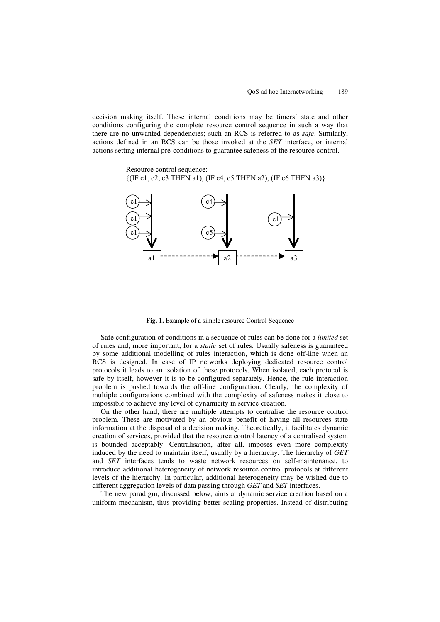decision making itself. These internal conditions may be timers' state and other conditions configuring the complete resource control sequence in such a way that there are no unwanted dependencies; such an RCS is referred to as *safe*. Similarly, actions defined in an RCS can be those invoked at the *SET* interface, or internal actions setting internal pre-conditions to guarantee safeness of the resource control.

> Resource control sequence: {(IF c1, c2, c3 THEN a1), (IF c4, c5 THEN a2), (IF c6 THEN a3)}



**Fig. 1.** Example of a simple resource Control Sequence

Safe configuration of conditions in a sequence of rules can be done for a *limited* set of rules and, more important, for a *static* set of rules. Usually safeness is guaranteed by some additional modelling of rules interaction, which is done off-line when an RCS is designed. In case of IP networks deploying dedicated resource control protocols it leads to an isolation of these protocols. When isolated, each protocol is safe by itself, however it is to be configured separately. Hence, the rule interaction problem is pushed towards the off-line configuration. Clearly, the complexity of multiple configurations combined with the complexity of safeness makes it close to impossible to achieve any level of dynamicity in service creation.

On the other hand, there are multiple attempts to centralise the resource control problem. These are motivated by an obvious benefit of having all resources state information at the disposal of a decision making. Theoretically, it facilitates dynamic creation of services, provided that the resource control latency of a centralised system is bounded acceptably. Centralisation, after all, imposes even more complexity induced by the need to maintain itself, usually by a hierarchy. The hierarchy of *GET* and *SET* interfaces tends to waste network resources on self-maintenance, to introduce additional heterogeneity of network resource control protocols at different levels of the hierarchy. In particular, additional heterogeneity may be wished due to different aggregation levels of data passing through *GET* and *SET* interfaces.

The new paradigm, discussed below, aims at dynamic service creation based on a uniform mechanism, thus providing better scaling properties. Instead of distributing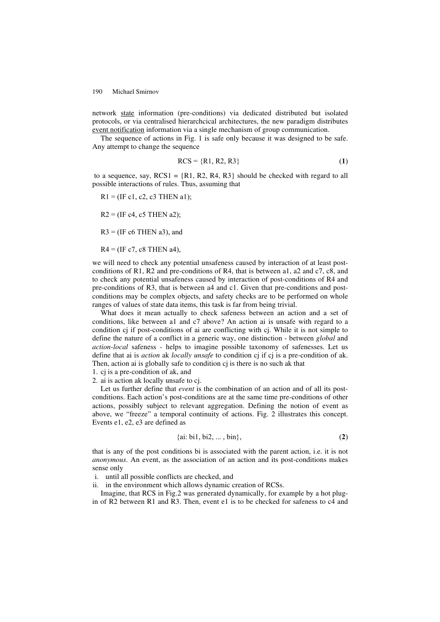network state information (pre-conditions) via dedicated distributed but isolated protocols, or via centralised hierarchcical architectures, the new paradigm distributes event notification information via a single mechanism of group communication.

The sequence of actions in Fig. 1 is safe only because it was designed to be safe. Any attempt to change the sequence

$$
RCS = \{R1, R2, R3\} \tag{1}
$$

to a sequence, say,  $RCS1 = \{R1, R2, R4, R3\}$  should be checked with regard to all possible interactions of rules. Thus, assuming that

 $R1 = (IF c1, c2, c3 THEN a1);$ 

 $R2 = (IF c4, c5 THEN a2);$ 

 $R3 = (IF c6 THEN a3)$ , and

 $R4 = (IF c7, c8 THEN a4),$ 

we will need to check any potential unsafeness caused by interaction of at least postconditions of R1, R2 and pre-conditions of R4, that is between a1, a2 and c7, c8, and to check any potential unsafeness caused by interaction of post-conditions of R4 and pre-conditions of R3, that is between a4 and c1. Given that pre-conditions and postconditions may be complex objects, and safety checks are to be performed on whole ranges of values of state data items, this task is far from being trivial.

What does it mean actually to check safeness between an action and a set of conditions, like between a1 and c7 above? An action ai is unsafe with regard to a condition cj if post-conditions of ai are conflicting with cj. While it is not simple to define the nature of a conflict in a generic way, one distinction - between *global* and *action-local* safeness - helps to imagine possible taxonomy of safenesses. Let us define that ai is *action* ak *locally unsafe* to condition cj if cj is a pre-condition of ak. Then, action ai is globally safe to condition cj is there is no such ak that

- 1. cj is a pre-condition of ak, and
- 2. ai is action ak locally unsafe to cj.

Let us further define that *event* is the combination of an action and of all its postconditions. Each action's post-conditions are at the same time pre-conditions of other actions, possibly subject to relevant aggregation. Defining the notion of event as above, we "freeze" a temporal continuity of actions. Fig. 2 illustrates this concept. Events e1, e2, e3 are defined as

$$
\{\text{ai: bi1, bi2, ..., bin}\},\tag{2}
$$

that is any of the post conditions bi is associated with the parent action, i.e. it is not *anonymous*. An event, as the association of an action and its post-conditions makes sense only

- i. until all possible conflicts are checked, and
- ii. in the environment which allows dynamic creation of RCSs.

Imagine, that RCS in Fig.2 was generated dynamically, for example by a hot plugin of R2 between R1 and R3. Then, event e1 is to be checked for safeness to c4 and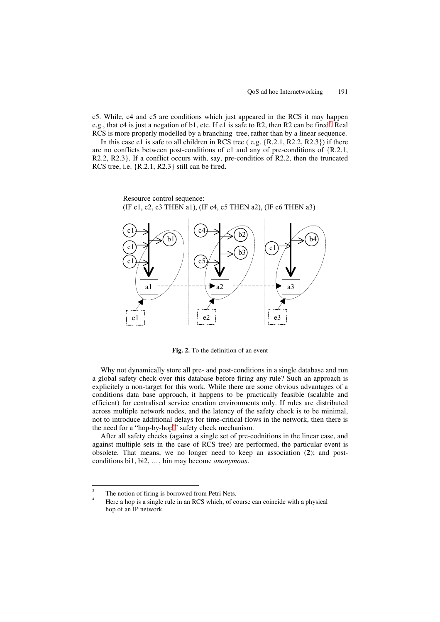c5. While, c4 and c5 are conditions which just appeared in the RCS it may happen e[.](#page-5-0)g., that c4 is just a negation of b1, etc. If e1 is safe to R2, then R2 can be fired<sup>3</sup>. Real RCS is more properly modelled by a branching tree, rather than by a linear sequence.

In this case e1 is safe to all children in RCS tree (e.g.  $\{R, 2.1, R2.2, R2.3\}$ ) if there are no conflicts between post-conditions of e1 and any of pre-conditions of {R.2.1,  $R2.2, R2.3$ . If a conflict occurs with, say, pre-conditios of R2.2, then the truncated RCS tree, i.e. {R.2.1, R2.3} still can be fired.

Resource control sequence: (IF c1, c2, c3 THEN a1), (IF c4, c5 THEN a2), (IF c6 THEN a3)



**Fig. 2.** To the definition of an event

Why not dynamically store all pre- and post-conditions in a single database and run a global safety check over this database before firing any rule? Such an approach is explicitely a non-target for this work. While there are some obvious advantages of a conditions data base approach, it happens to be practically feasible (scalable and efficient) for centralised service creation environments only. If rules are distributed across multiple network nodes, and the latency of the safety check is to be minimal, not to introduce additional delays for time-critical flows in the network, then there is the need for a "hop-by-hop<sup>[4](#page-5-1)</sup>" safety check mechanism.

After all safety checks (against a single set of pre-codnitions in the linear case, and against multiple sets in the case of RCS tree) are performed, the particular event is obsolete. That means, we no longer need to keep an association (**2**); and postconditions bi1, bi2, ... , bin may become *anonymous*.

<span id="page-5-0"></span><sup>-&</sup>lt;br>3  $\frac{3}{4}$  The notion of firing is borrowed from Petri Nets.

<span id="page-5-1"></span>Here a hop is a single rule in an RCS which, of course can coincide with a physical hop of an IP network.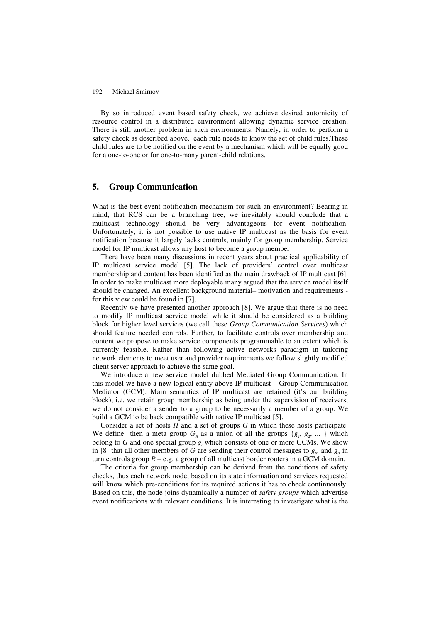By so introduced event based safety check, we achieve desired automicity of resource control in a distributed environment allowing dynamic service creation. There is still another problem in such environments. Namely, in order to perform a safety check as described above, each rule needs to know the set of child rules.These child rules are to be notified on the event by a mechanism which will be equally good for a one-to-one or for one-to-many parent-child relations.

#### **5. Group Communication**

What is the best event notification mechanism for such an environment? Bearing in mind, that RCS can be a branching tree, we inevitably should conclude that a multicast technology should be very advantageous for event notification. Unfortunately, it is not possible to use native IP multicast as the basis for event notification because it largely lacks controls, mainly for group membership. Service model for IP multicast allows any host to become a group member

There have been many discussions in recent years about practical applicability of IP multicast service model [5]. The lack of providers' control over multicast membership and content has been identified as the main drawback of IP multicast [6]. In order to make multicast more deployable many argued that the service model itself should be changed. An excellent background material– motivation and requirements for this view could be found in [7].

Recently we have presented another approach [8]. We argue that there is no need to modify IP multicast service model while it should be considered as a building block for higher level services (we call these *Group Communication Services*) which should feature needed controls. Further, to facilitate controls over membership and content we propose to make service components programmable to an extent which is currently feasible. Rather than following active networks paradigm in tailoring network elements to meet user and provider requirements we follow slightly modified client server approach to achieve the same goal.

We introduce a new service model dubbed Mediated Group Communication. In this model we have a new logical entity above IP multicast – Group Communication Mediator (GCM). Main semantics of IP multicast are retained (it's our building block), i.e. we retain group membership as being under the supervision of receivers, we do not consider a sender to a group to be necessarily a member of a group. We build a GCM to be back compatible with native IP multicast [5].

Consider a set of hosts *H* and a set of groups *G* in which these hosts participate. We define then a meta group  $G_H$  as a union of all the groups  $\{g_1, g_2, \dots\}$  which belong to *G* and one special group  $g_0$  which consists of one or more GCMs. We show in [8] that all other members of *G* are sending their control messages to  $g_0$ , and  $g_0$  in turn controls group  $R - e.g.$  a group of all multicast border routers in a GCM domain.

The criteria for group membership can be derived from the conditions of safety checks, thus each network node, based on its state information and services requested will know which pre-conditions for its required actions it has to check continuously. Based on this, the node joins dynamically a number of *safety groups* which advertise event notifications with relevant conditions. It is interesting to investigate what is the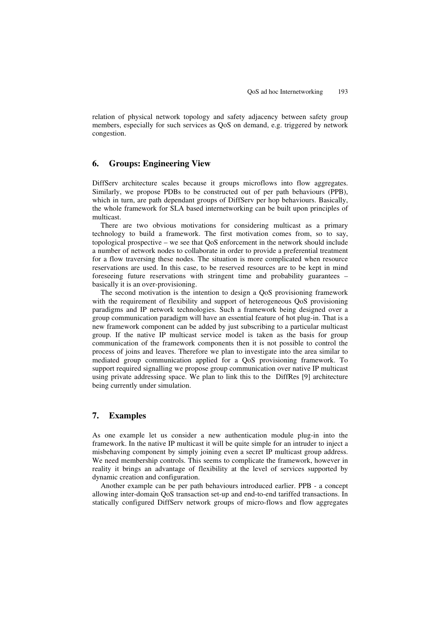relation of physical network topology and safety adjacency between safety group members, especially for such services as QoS on demand, e.g. triggered by network congestion.

#### **6. Groups: Engineering View**

DiffServ architecture scales because it groups microflows into flow aggregates. Similarly, we propose PDBs to be constructed out of per path behaviours (PPB), which in turn, are path dependant groups of DiffServ per hop behaviours. Basically, the whole framework for SLA based internetworking can be built upon principles of multicast.

There are two obvious motivations for considering multicast as a primary technology to build a framework. The first motivation comes from, so to say, topological prospective – we see that QoS enforcement in the network should include a number of network nodes to collaborate in order to provide a preferential treatment for a flow traversing these nodes. The situation is more complicated when resource reservations are used. In this case, to be reserved resources are to be kept in mind foreseeing future reservations with stringent time and probability guarantees – basically it is an over-provisioning.

The second motivation is the intention to design a QoS provisioning framework with the requirement of flexibility and support of heterogeneous QoS provisioning paradigms and IP network technologies. Such a framework being designed over a group communication paradigm will have an essential feature of hot plug-in. That is a new framework component can be added by just subscribing to a particular multicast group. If the native IP multicast service model is taken as the basis for group communication of the framework components then it is not possible to control the process of joins and leaves. Therefore we plan to investigate into the area similar to mediated group communication applied for a QoS provisioning framework. To support required signalling we propose group communication over native IP multicast using private addressing space. We plan to link this to the DiffRes [9] architecture being currently under simulation.

#### **7. Examples**

As one example let us consider a new authentication module plug-in into the framework. In the native IP multicast it will be quite simple for an intruder to inject a misbehaving component by simply joining even a secret IP multicast group address. We need membership controls. This seems to complicate the framework, however in reality it brings an advantage of flexibility at the level of services supported by dynamic creation and configuration.

Another example can be per path behaviours introduced earlier. PPB - a concept allowing inter-domain QoS transaction set-up and end-to-end tariffed transactions. In statically configured DiffServ network groups of micro-flows and flow aggregates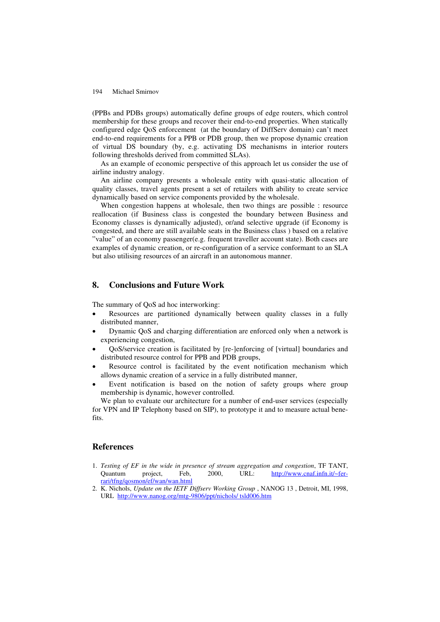(PPBs and PDBs groups) automatically define groups of edge routers, which control membership for these groups and recover their end-to-end properties. When statically configured edge QoS enforcement (at the boundary of DiffServ domain) can't meet end-to-end requirements for a PPB or PDB group, then we propose dynamic creation of virtual DS boundary (by, e.g. activating DS mechanisms in interior routers following thresholds derived from committed SLAs).

As an example of economic perspective of this approach let us consider the use of airline industry analogy.

An airline company presents a wholesale entity with quasi-static allocation of quality classes, travel agents present a set of retailers with ability to create service dynamically based on service components provided by the wholesale.

When congestion happens at wholesale, then two things are possible : resource reallocation (if Business class is congested the boundary between Business and Economy classes is dynamically adjusted), or/and selective upgrade (if Economy is congested, and there are still available seats in the Business class ) based on a relative "value" of an economy passenger(e.g. frequent traveller account state). Both cases are examples of dynamic creation, or re-configuration of a service conformant to an SLA but also utilising resources of an aircraft in an autonomous manner.

## **8. Conclusions and Future Work**

The summary of QoS ad hoc interworking:

- Resources are partitioned dynamically between quality classes in a fully distributed manner,
- Dynamic QoS and charging differentiation are enforced only when a network is experiencing congestion,
- QoS/service creation is facilitated by [re-]enforcing of [virtual] boundaries and distributed resource control for PPB and PDB groups,
- Resource control is facilitated by the event notification mechanism which allows dynamic creation of a service in a fully distributed manner,
- Event notification is based on the notion of safety groups where group membership is dynamic, however controlled.

We plan to evaluate our architecture for a number of end-user services (especially for VPN and IP Telephony based on SIP), to prototype it and to measure actual benefits.

# **References**

- 1. *Testing of EF in the wide in presence of stream aggregation and congestion*, TF TANT, Quantum project, Feb, 2000, URL: http://www.cnaf.infn.it/~ferrari/tfng/qosmon/ef/wan/wan.html
- 2. K. Nichols, *Update on the IETF Diffserv Working Group* , NANOG 13 , Detroit, MI, 1998, URL http://www.nanog.org/mtg-9806/ppt/nichols/ tsld006.htm